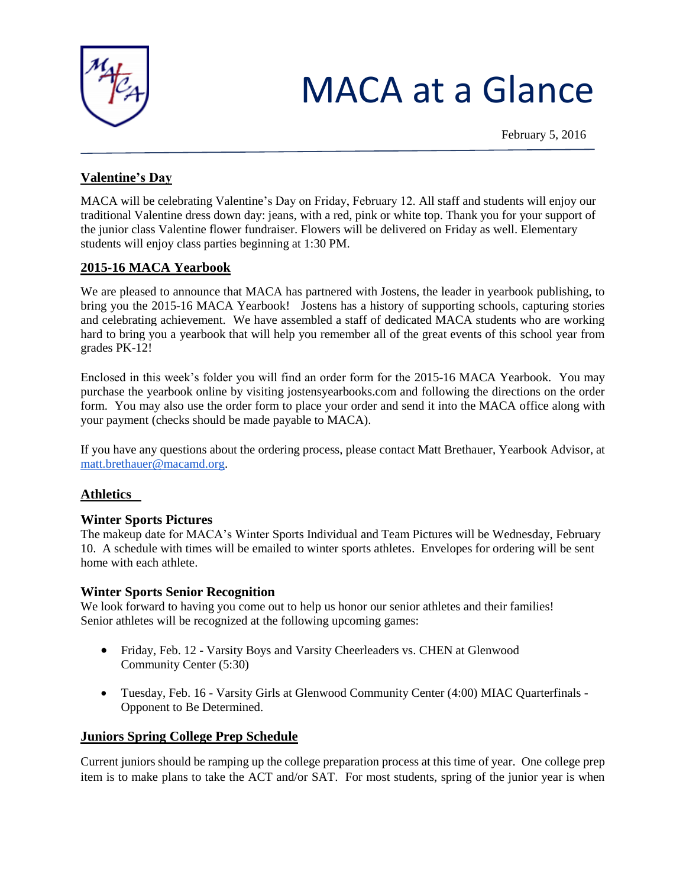

# MACA at a Glance

February 5, 2016

# **Valentine's Day**

MACA will be celebrating Valentine's Day on Friday, February 12. All staff and students will enjoy our traditional Valentine dress down day: jeans, with a red, pink or white top. Thank you for your support of the junior class Valentine flower fundraiser. Flowers will be delivered on Friday as well. Elementary students will enjoy class parties beginning at 1:30 PM.

# **2015-16 MACA Yearbook**

We are pleased to announce that MACA has partnered with Jostens, the leader in yearbook publishing, to bring you the 2015-16 MACA Yearbook! Jostens has a history of supporting schools, capturing stories and celebrating achievement. We have assembled a staff of dedicated MACA students who are working hard to bring you a yearbook that will help you remember all of the great events of this school year from grades PK-12!

Enclosed in this week's folder you will find an order form for the 2015-16 MACA Yearbook. You may purchase the yearbook online by visiting jostensyearbooks.com and following the directions on the order form. You may also use the order form to place your order and send it into the MACA office along with your payment (checks should be made payable to MACA).

If you have any questions about the ordering process, please contact Matt Brethauer, Yearbook Advisor, at [matt.brethauer@macamd.org.](mailto:matt.brethauer@macamd.org)

## **Athletics**

#### **Winter Sports Pictures**

The makeup date for MACA's Winter Sports Individual and Team Pictures will be Wednesday, February 10. A schedule with times will be emailed to winter sports athletes. Envelopes for ordering will be sent home with each athlete.

#### **Winter Sports Senior Recognition**

We look forward to having you come out to help us honor our senior athletes and their families! Senior athletes will be recognized at the following upcoming games:

- Friday, Feb. 12 Varsity Boys and Varsity Cheerleaders vs. CHEN at Glenwood Community Center (5:30)
- Tuesday, Feb. 16 Varsity Girls at Glenwood Community Center (4:00) MIAC Quarterfinals Opponent to Be Determined.

## **Juniors Spring College Prep Schedule**

Current juniors should be ramping up the college preparation process at this time of year. One college prep item is to make plans to take the ACT and/or SAT. For most students, spring of the junior year is when